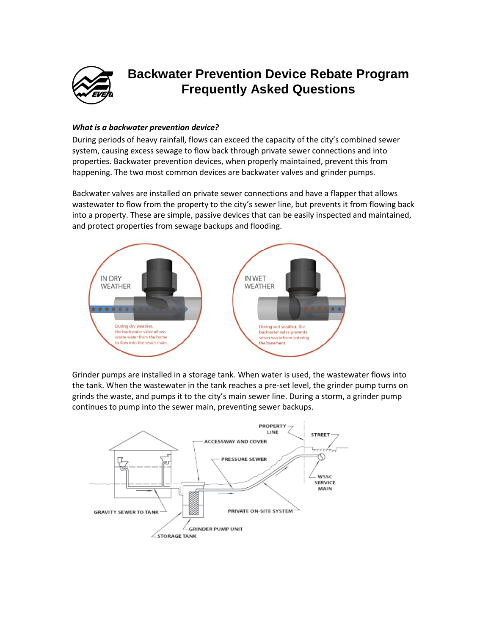

# **Backwater Prevention Device Rebate Program Frequently Asked Questions**

### *What is a backwater prevention device?*

During periods of heavy rainfall, flows can exceed the capacity of the city's combined sewer system, causing excess sewage to flow back through private sewer connections and into properties. Backwater prevention devices, when properly maintained, prevent this from happening. The two most common devices are backwater valves and grinder pumps.

Backwater valves are installed on private sewer connections and have a flapper that allows wastewater to flow from the property to the city's sewer line, but prevents it from flowing back into a property. These are simple, passive devices that can be easily inspected and maintained, and protect properties from sewage backups and flooding.



Grinder pumps are installed in a storage tank. When water is used, the wastewater flows into the tank. When the wastewater in the tank reaches a pre-set level, the grinder pump turns on grinds the waste, and pumps it to the city's main sewer line. During a storm, a grinder pump continues to pump into the sewer main, preventing sewer backups.

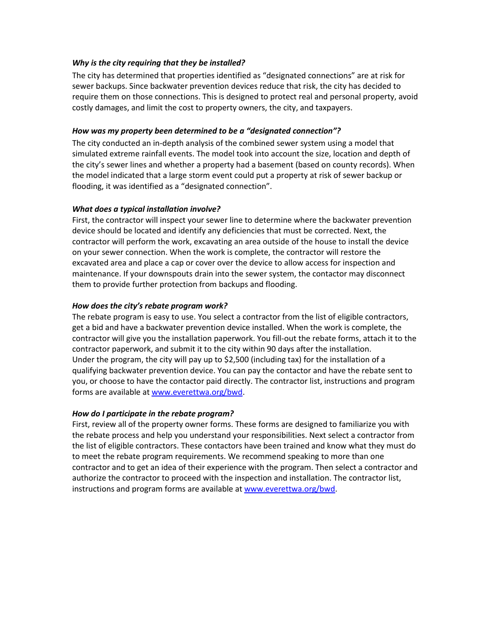#### *Why is the city requiring that they be installed?*

The city has determined that properties identified as "designated connections" are at risk for sewer backups. Since backwater prevention devices reduce that risk, the city has decided to require them on those connections. This is designed to protect real and personal property, avoid costly damages, and limit the cost to property owners, the city, and taxpayers.

### *How was my property been determined to be a "designated connection"?*

The city conducted an in-depth analysis of the combined sewer system using a model that simulated extreme rainfall events. The model took into account the size, location and depth of the city's sewer lines and whether a property had a basement (based on county records). When the model indicated that a large storm event could put a property at risk of sewer backup or flooding, it was identified as a "designated connection".

# *What does a typical installation involve?*

First, the contractor will inspect your sewer line to determine where the backwater prevention device should be located and identify any deficiencies that must be corrected. Next, the contractor will perform the work, excavating an area outside of the house to install the device on your sewer connection. When the work is complete, the contractor will restore the excavated area and place a cap or cover over the device to allow access for inspection and maintenance. If your downspouts drain into the sewer system, the contactor may disconnect them to provide further protection from backups and flooding.

# *How does the city's rebate program work?*

The rebate program is easy to use. You select a contractor from the list of eligible contractors, get a bid and have a backwater prevention device installed. When the work is complete, the contractor will give you the installation paperwork. You fill-out the rebate forms, attach it to the contractor paperwork, and submit it to the city within 90 days after the installation. Under the program, the city will pay up to \$2,500 (including tax) for the installation of a qualifying backwater prevention device. You can pay the contactor and have the rebate sent to you, or choose to have the contactor paid directly. The contractor list, instructions and program forms are available at [www.everettwa.org/bwd.](http://www.everettwa.org/bwd)

# *How do I participate in the rebate program?*

First, review all of the property owner forms. These forms are designed to familiarize you with the rebate process and help you understand your responsibilities. Next select a contractor from the list of eligible contractors. These contactors have been trained and know what they must do to meet the rebate program requirements. We recommend speaking to more than one contractor and to get an idea of their experience with the program. Then select a contractor and authorize the contractor to proceed with the inspection and installation. The contractor list, instructions and program forms are available a[t www.everettwa.org/bwd.](http://www.everettwa.org/bwd)